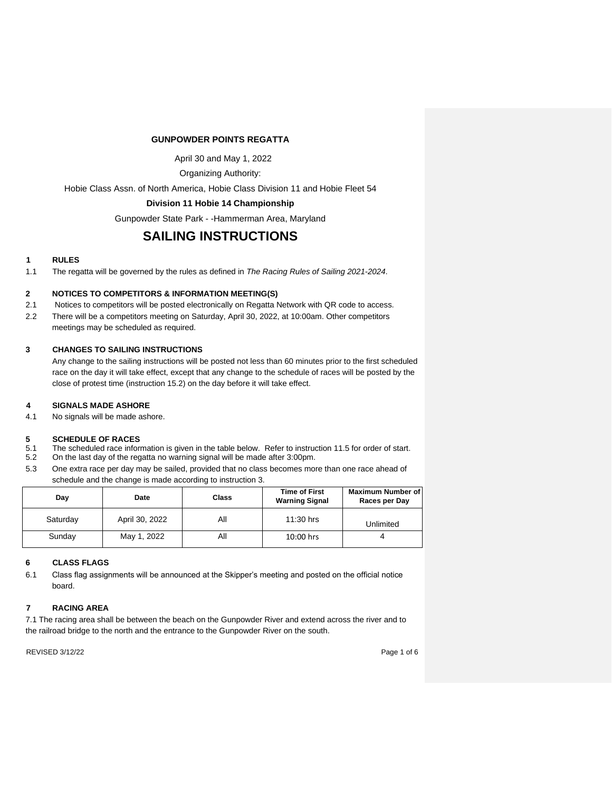# **GUNPOWDER POINTS REGATTA**

April 30 and May 1, 2022

Organizing Authority:

Hobie Class Assn. of North America, Hobie Class Division 11 and Hobie Fleet 54

# **Division 11 Hobie 14 Championship**

Gunpowder State Park - -Hammerman Area, Maryland

# **SAILING INSTRUCTIONS**

# **1 RULES**

1.1 The regatta will be governed by the rules as defined in *The Racing Rules of Sailing 2021-2024*.

# **2 NOTICES TO COMPETITORS & INFORMATION MEETING(S)**

- 2.1 Notices to competitors will be posted electronically on Regatta Network with QR code to access.
- 2.2 There will be a competitors meeting on Saturday, April 30, 2022, at 10:00am. Other competitors
	- meetings may be scheduled as required.

# **3 CHANGES TO SAILING INSTRUCTIONS**

Any change to the sailing instructions will be posted not less than 60 minutes prior to the first scheduled race on the day it will take effect, except that any change to the schedule of races will be posted by the close of protest time (instruction 15.2) on the day before it will take effect.

# **4 SIGNALS MADE ASHORE**

4.1 No signals will be made ashore.

# **5 SCHEDULE OF RACES**<br>5.1 The scheduled race inform

- 5.1 The scheduled race information is given in the table below. Refer to instruction 11.5 for order of start.<br>5.2 On the last day of the regatta no warning signal will be made after 3:00pm.
- 5.2 On the last day of the regatta no warning signal will be made after 3:00pm.
- 5.3 One extra race per day may be sailed, provided that no class becomes more than one race ahead of schedule and the change is made according to instruction 3.

| Day      | Date           | Class | <b>Time of First</b><br><b>Warning Signal</b> | Maximum Number of<br>Races per Day |
|----------|----------------|-------|-----------------------------------------------|------------------------------------|
| Saturday | April 30, 2022 | All   | 11:30 hrs                                     | Unlimited                          |
| Sunday   | May 1, 2022    | All   | $10:00$ hrs                                   |                                    |

# **6 CLASS FLAGS**

6.1 Class flag assignments will be announced at the Skipper's meeting and posted on the official notice board.

# **7 RACING AREA**

7.1 The racing area shall be between the beach on the Gunpowder River and extend across the river and to the railroad bridge to the north and the entrance to the Gunpowder River on the south.

REVISED 3/12/22 Page 1 of 6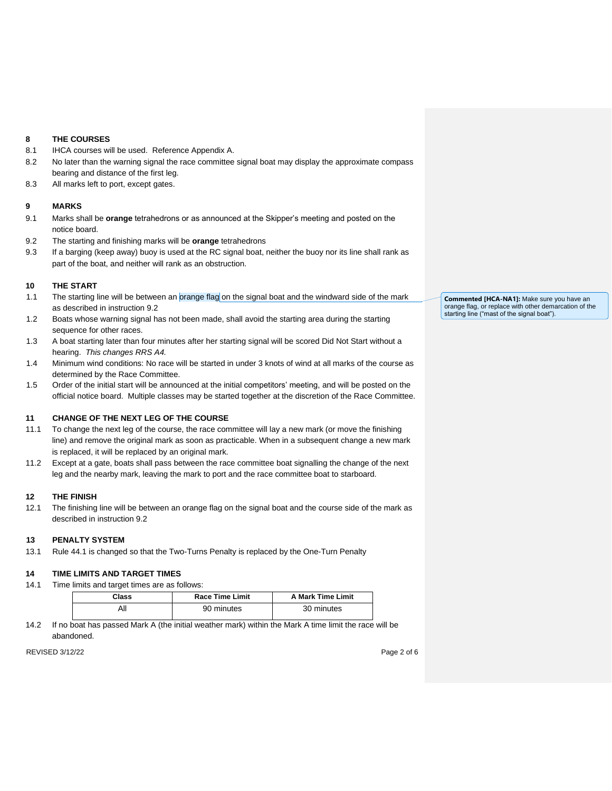# **8 THE COURSES**

- 8.1 IHCA courses will be used. Reference Appendix A.
- 8.2 No later than the warning signal the race committee signal boat may display the approximate compass bearing and distance of the first leg.
- 8.3 All marks left to port, except gates.

# **9 MARKS**

- 9.1 Marks shall be **orange** tetrahedrons or as announced at the Skipper's meeting and posted on the notice board.
- 9.2 The starting and finishing marks will be **orange** tetrahedrons
- 9.3 If a barging (keep away) buoy is used at the RC signal boat, neither the buoy nor its line shall rank as part of the boat, and neither will rank as an obstruction.

#### **10 THE START**

- 1.1 The starting line will be between an orange flag on the signal boat and the windward side of the mark as described in instruction 9.2
- 1.2 Boats whose warning signal has not been made, shall avoid the starting area during the starting sequence for other races.
- 1.3 A boat starting later than four minutes after her starting signal will be scored Did Not Start without a hearing. *This changes RRS A4.*
- 1.4 Minimum wind conditions: No race will be started in under 3 knots of wind at all marks of the course as determined by the Race Committee.
- 1.5 Order of the initial start will be announced at the initial competitors' meeting, and will be posted on the official notice board. Multiple classes may be started together at the discretion of the Race Committee.

## **11 CHANGE OF THE NEXT LEG OF THE COURSE**

- 11.1 To change the next leg of the course, the race committee will lay a new mark (or move the finishing line) and remove the original mark as soon as practicable. When in a subsequent change a new mark is replaced, it will be replaced by an original mark.
- 11.2 Except at a gate, boats shall pass between the race committee boat signalling the change of the next leg and the nearby mark, leaving the mark to port and the race committee boat to starboard.

# **12 THE FINISH**

12.1 The finishing line will be between an orange flag on the signal boat and the course side of the mark as described in instruction 9.2

#### **13 PENALTY SYSTEM**

13.1 Rule 44.1 is changed so that the Two-Turns Penalty is replaced by the One-Turn Penalty

# **14 TIME LIMITS AND TARGET TIMES**

14.1 Time limits and target times are as follows:

| Class | <b>Race Time Limit</b> | <b>A Mark Time Limit</b> |
|-------|------------------------|--------------------------|
| ΑIΙ   | 90 minutes             | 30 minutes               |

14.2 If no boat has passed Mark A (the initial weather mark) within the Mark A time limit the race will be abandoned.

REVISED 3/12/22 Page 2 of 6

**Commented [HCA-NA1]:** Make sure you have an orange flag, or replace with other demarcation of the starting line ("mast of the signal boat").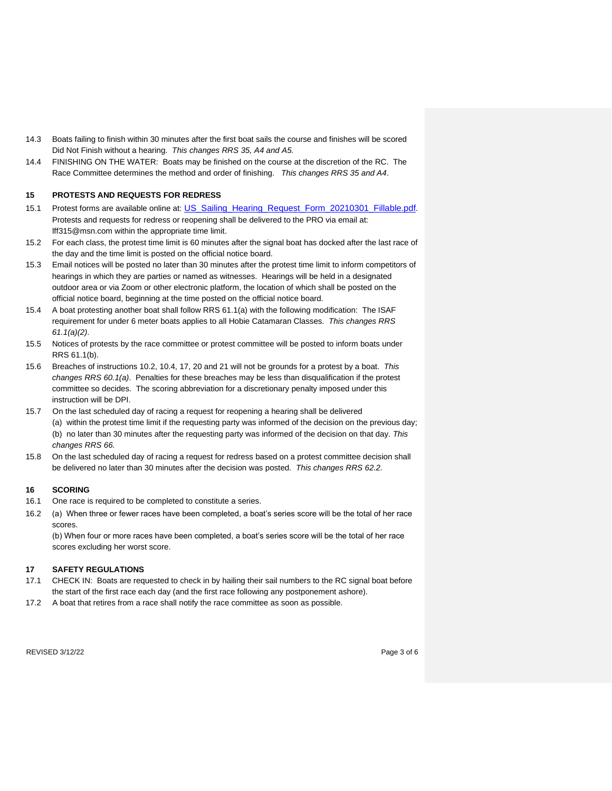- 14.3 Boats failing to finish within 30 minutes after the first boat sails the course and finishes will be scored Did Not Finish without a hearing. *This changes RRS 35, A4 and A5.*
- 14.4 FINISHING ON THE WATER: Boats may be finished on the course at the discretion of the RC. The Race Committee determines the method and order of finishing. *This changes RRS 35 and A4*.

#### **15 PROTESTS AND REQUESTS FOR REDRESS**

- 15.1 Protest forms are available online at[:](https://cdn.ussailing.org/wp-content/uploads/2021/03/US_Sailing_Hearing_Request_Form_20210301_Fillable.pdf) [US\\_Sailing\\_Hearing\\_Request\\_Form\\_20210301\\_Fillable.pdf](https://cdn.ussailing.org/wp-content/uploads/2021/03/US_Sailing_Hearing_Request_Form_20210301_Fillable.pdf)[.](https://cdn.ussailing.org/wp-content/uploads/2021/03/US_Sailing_Hearing_Request_Form_20210301_Fillable.pdf)  Protests and requests for redress or reopening shall be delivered to the PRO via email at: lff315@msn.com within the appropriate time limit.
- 15.2 For each class, the protest time limit is 60 minutes after the signal boat has docked after the last race of the day and the time limit is posted on the official notice board.
- 15.3 Email notices will be posted no later than 30 minutes after the protest time limit to inform competitors of hearings in which they are parties or named as witnesses. Hearings will be held in a designated outdoor area or via Zoom or other electronic platform, the location of which shall be posted on the official notice board, beginning at the time posted on the official notice board.
- 15.4 A boat protesting another boat shall follow RRS 61.1(a) with the following modification: The ISAF requirement for under 6 meter boats applies to all Hobie Catamaran Classes. *This changes RRS 61.1(a)(2)*.
- 15.5 Notices of protests by the race committee or protest committee will be posted to inform boats under RRS 61.1(b).
- 15.6 Breaches of instructions 10.2, 10.4, 17, 20 and 21 will not be grounds for a protest by a boat. *This changes RRS 60.1(a)*. Penalties for these breaches may be less than disqualification if the protest committee so decides. The scoring abbreviation for a discretionary penalty imposed under this instruction will be DPI.
- 15.7 On the last scheduled day of racing a request for reopening a hearing shall be delivered (a) within the protest time limit if the requesting party was informed of the decision on the previous day; (b) no later than 30 minutes after the requesting party was informed of the decision on that day. *This changes RRS 66.*
- 15.8 On the last scheduled day of racing a request for redress based on a protest committee decision shall be delivered no later than 30 minutes after the decision was posted. *This changes RRS 62.2.*

#### **16 SCORING**

- 16.1 One race is required to be completed to constitute a series.
- 16.2 (a) When three or fewer races have been completed, a boat's series score will be the total of her race scores.

(b) When four or more races have been completed, a boat's series score will be the total of her race scores excluding her worst score.

#### **17 SAFETY REGULATIONS**

- 17.1 CHECK IN: Boats are requested to check in by hailing their sail numbers to the RC signal boat before the start of the first race each day (and the first race following any postponement ashore).
- 17.2 A boat that retires from a race shall notify the race committee as soon as possible.

REVISED 3/12/22 Page 3 of 6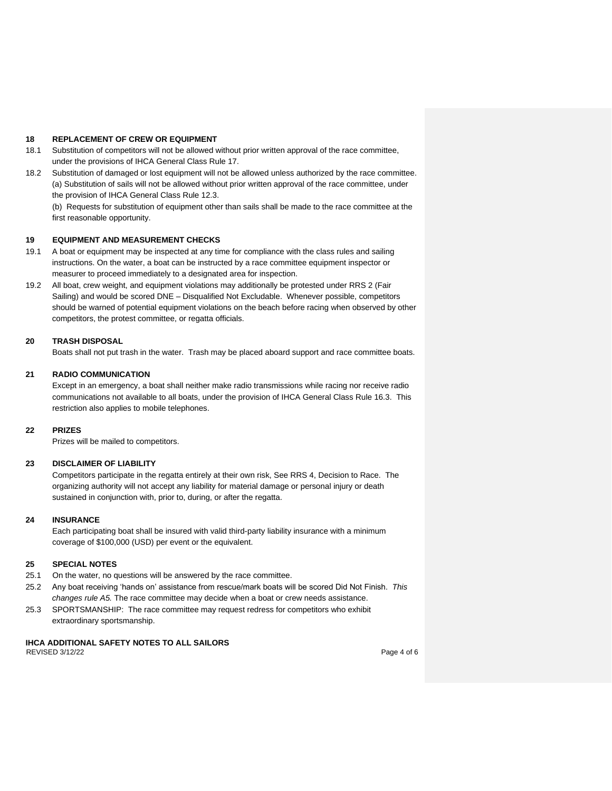#### **18 REPLACEMENT OF CREW OR EQUIPMENT**

- 18.1 Substitution of competitors will not be allowed without prior written approval of the race committee, under the provisions of IHCA General Class Rule 17.
- 18.2 Substitution of damaged or lost equipment will not be allowed unless authorized by the race committee. (a) Substitution of sails will not be allowed without prior written approval of the race committee, under the provision of IHCA General Class Rule 12.3.

(b) Requests for substitution of equipment other than sails shall be made to the race committee at the first reasonable opportunity.

#### **19 EQUIPMENT AND MEASUREMENT CHECKS**

- 19.1 A boat or equipment may be inspected at any time for compliance with the class rules and sailing instructions. On the water, a boat can be instructed by a race committee equipment inspector or measurer to proceed immediately to a designated area for inspection.
- 19.2 All boat, crew weight, and equipment violations may additionally be protested under RRS 2 (Fair Sailing) and would be scored DNE – Disqualified Not Excludable. Whenever possible, competitors should be warned of potential equipment violations on the beach before racing when observed by other competitors, the protest committee, or regatta officials.

# **20 TRASH DISPOSAL**

Boats shall not put trash in the water. Trash may be placed aboard support and race committee boats.

# **21 RADIO COMMUNICATION**

Except in an emergency, a boat shall neither make radio transmissions while racing nor receive radio communications not available to all boats, under the provision of IHCA General Class Rule 16.3. This restriction also applies to mobile telephones.

#### **22 PRIZES**

Prizes will be mailed to competitors.

#### **23 DISCLAIMER OF LIABILITY**

Competitors participate in the regatta entirely at their own risk, See RRS 4, Decision to Race. The organizing authority will not accept any liability for material damage or personal injury or death sustained in conjunction with, prior to, during, or after the regatta.

#### **24 INSURANCE**

Each participating boat shall be insured with valid third-party liability insurance with a minimum coverage of \$100,000 (USD) per event or the equivalent.

#### **25 SPECIAL NOTES**

- 25.1 On the water, no questions will be answered by the race committee.
- 25.2 Any boat receiving 'hands on' assistance from rescue/mark boats will be scored Did Not Finish. *This changes rule A5.* The race committee may decide when a boat or crew needs assistance.
- 25.3 SPORTSMANSHIP: The race committee may request redress for competitors who exhibit extraordinary sportsmanship.

# **IHCA ADDITIONAL SAFETY NOTES TO ALL SAILORS**

REVISED 3/12/22 Page 4 of 6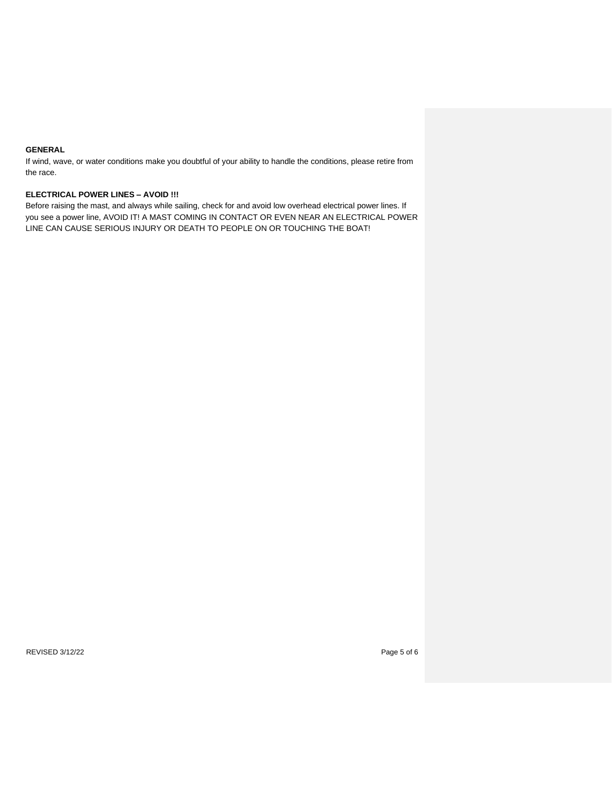# **GENERAL**

If wind, wave, or water conditions make you doubtful of your ability to handle the conditions, please retire from the race.

# **ELECTRICAL POWER LINES – AVOID !!!**

Before raising the mast, and always while sailing, check for and avoid low overhead electrical power lines. If you see a power line, AVOID IT! A MAST COMING IN CONTACT OR EVEN NEAR AN ELECTRICAL POWER LINE CAN CAUSE SERIOUS INJURY OR DEATH TO PEOPLE ON OR TOUCHING THE BOAT!